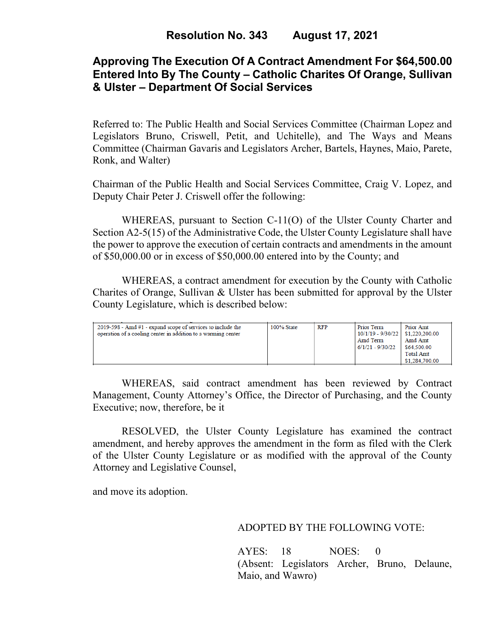# **Approving The Execution Of A Contract Amendment For \$64,500.00 Entered Into By The County – Catholic Charites Of Orange, Sullivan & Ulster – Department Of Social Services**

Referred to: The Public Health and Social Services Committee (Chairman Lopez and Legislators Bruno, Criswell, Petit, and Uchitelle), and The Ways and Means Committee (Chairman Gavaris and Legislators Archer, Bartels, Haynes, Maio, Parete, Ronk, and Walter)

Chairman of the Public Health and Social Services Committee, Craig V. Lopez, and Deputy Chair Peter J. Criswell offer the following:

WHEREAS, pursuant to Section C-11(O) of the Ulster County Charter and Section A2-5(15) of the Administrative Code, the Ulster County Legislature shall have the power to approve the execution of certain contracts and amendments in the amount of \$50,000.00 or in excess of \$50,000.00 entered into by the County; and

WHEREAS, a contract amendment for execution by the County with Catholic Charites of Orange, Sullivan & Ulster has been submitted for approval by the Ulster County Legislature, which is described below:

| $2019-598$ - Amd $#1$ - expand scope of services to include the<br>operation of a cooling center in addition to a warming center | $100\%$ State | <b>RFP</b> | Prior Term<br>$10/1/19 - 9/30/22$ \$1,220,200.00<br>Amd Term<br>$6/1/21 - 9/30/22$ | Prior Amt<br>Amd Amt<br>\$64,500.00<br>Total Amt<br>\$1,284,700.00 |
|----------------------------------------------------------------------------------------------------------------------------------|---------------|------------|------------------------------------------------------------------------------------|--------------------------------------------------------------------|
|----------------------------------------------------------------------------------------------------------------------------------|---------------|------------|------------------------------------------------------------------------------------|--------------------------------------------------------------------|

WHEREAS, said contract amendment has been reviewed by Contract Management, County Attorney's Office, the Director of Purchasing, and the County Executive; now, therefore, be it

RESOLVED, the Ulster County Legislature has examined the contract amendment, and hereby approves the amendment in the form as filed with the Clerk of the Ulster County Legislature or as modified with the approval of the County Attorney and Legislative Counsel,

and move its adoption.

### ADOPTED BY THE FOLLOWING VOTE:

AYES: 18 NOES: 0 (Absent: Legislators Archer, Bruno, Delaune, Maio, and Wawro)